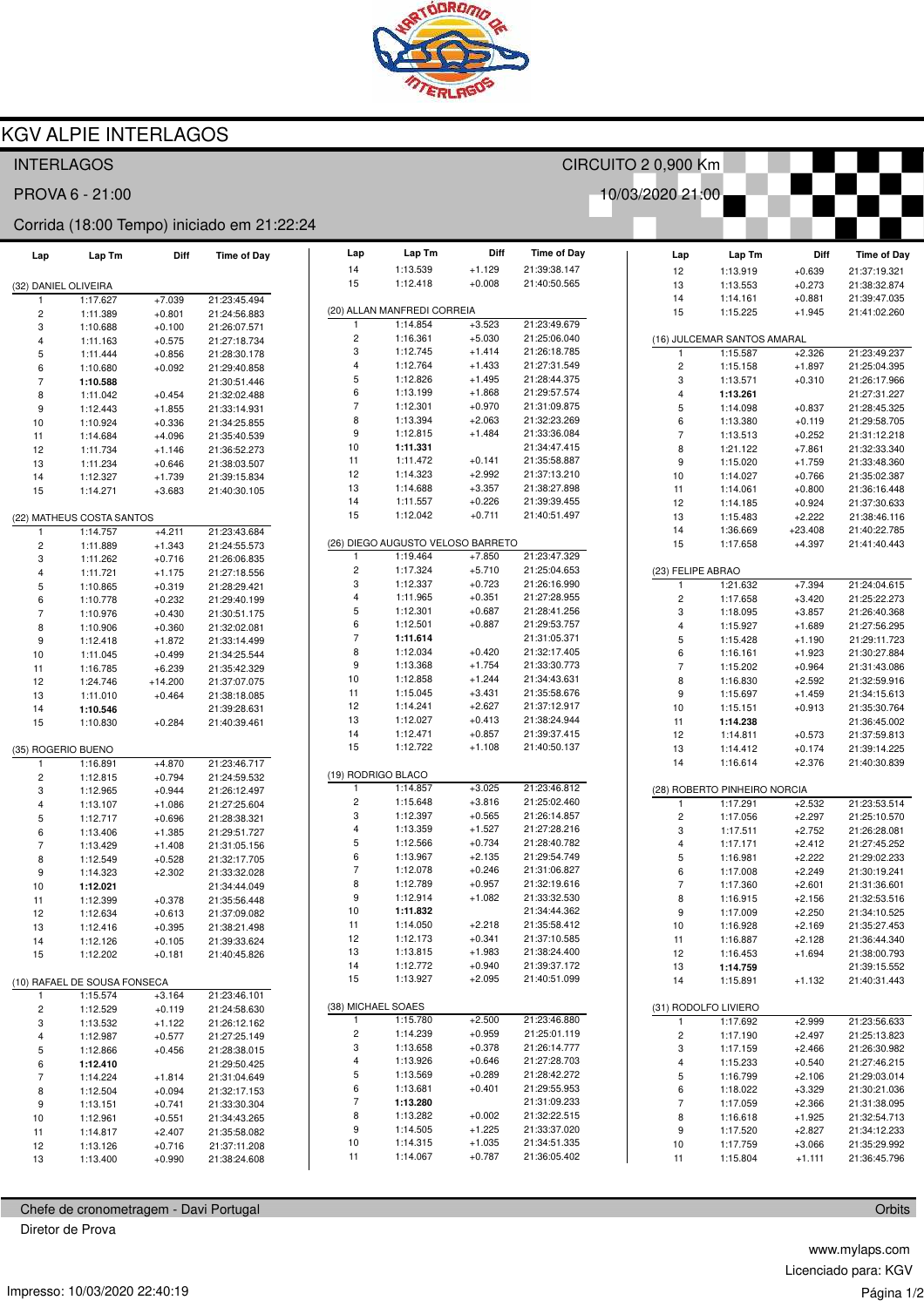

CIRCUITO 2 0,900 Km

Time of Day

21:39:38.147

21:36:05.402

10/03/2020 21:00

# **KGV ALPIE INTERLAGOS**

## **INTERLAGOS**

PROVA 6 - 21:00

#### Corrida (18:00 Tempo) iniciado em 21:22:24

| Lap                       | Lap Tm                       | Diff                 | <b>Time of Day</b>           | Lap                          | Lap Tm                                       | Diff                 |
|---------------------------|------------------------------|----------------------|------------------------------|------------------------------|----------------------------------------------|----------------------|
|                           |                              |                      |                              | 14<br>15                     | 1:13.539<br>1:12.418                         | $+1.129$<br>$+0.008$ |
| (32) DANIEL OLIVEIRA<br>1 | 1:17.627                     | $+7.039$             | 21:23:45.494                 |                              |                                              |                      |
| $\overline{c}$            | 1:11.389                     | $+0.801$             | 21:24:56.883                 |                              | (20) ALLAN MANFREDI CORREIA                  |                      |
| 3                         | 1:10.688                     | $+0.100$             | 21:26:07.571                 | 1                            | 1:14.854                                     | $+3.523$             |
| 4                         | 1:11.163                     | $+0.575$             | 21:27:18.734                 | $\overline{\mathbf{c}}$      | 1:16.361                                     | $+5.030$             |
| 5                         | 1:11.444                     | $+0.856$             | 21:28:30.178                 | 3<br>4                       | 1:12.745<br>1:12.764                         | $+1.414$<br>$+1.433$ |
| 6<br>$\overline{7}$       | 1:10.680                     | $+0.092$             | 21:29:40.858                 | 5                            | 1:12.826                                     | $+1.495$             |
| 8                         | 1:10.588<br>1:11.042         | $+0.454$             | 21:30:51.446<br>21:32:02.488 | 6                            | 1:13.199                                     | $+1.868$             |
| 9                         | 1:12.443                     | $+1.855$             | 21:33:14.931                 | $\overline{7}$               | 1:12.301                                     | $+0.970$             |
| 10                        | 1:10.924                     | $+0.336$             | 21:34:25.855                 | 8                            | 1:13.394                                     | $+2.063$             |
| 11                        | 1:14.684                     | $+4.096$             | 21:35:40.539                 | 9                            | 1:12.815                                     | $+1.484$             |
| 12                        | 1:11.734                     | $+1.146$             | 21:36:52.273                 | 10                           | 1:11.331                                     |                      |
| 13                        | 1:11.234                     | $+0.646$             | 21:38:03.507                 | 11<br>12                     | 1:11.472                                     | $+0.141$             |
| 14                        | 1:12.327                     | $+1.739$             | 21:39:15.834                 | 13                           | 1:14.323<br>1:14.688                         | $+2.992$<br>$+3.357$ |
| 15                        | 1:14.271                     | $+3.683$             | 21:40:30.105                 | 14                           | 1:11.557                                     | $+0.226$             |
|                           | (22) MATHEUS COSTA SANTOS    |                      |                              | 15                           | 1:12.042                                     | $+0.711$             |
| 1                         | 1:14.757                     | $+4.211$             | 21:23:43.684                 |                              |                                              |                      |
| $\overline{c}$            | 1:11.889                     | $+1.343$             | 21:24:55.573                 |                              | (26) DIEGO AUGUSTO VELOSO BARRE <sup>-</sup> |                      |
| 3                         | 1:11.262                     | $+0.716$             | 21:26:06.835                 | 1                            | 1:19.464                                     | $+7.850$             |
| $\overline{\mathbf{4}}$   | 1:11.721                     | $+1.175$             | 21:27:18.556                 | $\overline{\mathbf{c}}$<br>3 | 1:17.324<br>1:12.337                         | $+5.710$<br>$+0.723$ |
| 5                         | 1:10.865                     | $+0.319$             | 21:28:29.421                 | $\overline{\mathbf{4}}$      | 1:11.965                                     | $+0.351$             |
| 6<br>$\overline{7}$       | 1:10.778                     | $+0.232$             | 21:29:40.199                 | 5                            | 1:12.301                                     | $+0.687$             |
| 8                         | 1:10.976<br>1:10.906         | $+0.430$<br>$+0.360$ | 21:30:51.175<br>21:32:02.081 | 6                            | 1:12.501                                     | $+0.887$             |
| 9                         | 1:12.418                     | $+1.872$             | 21:33:14.499                 | $\overline{7}$               | 1:11.614                                     |                      |
| 10                        | 1:11.045                     | $+0.499$             | 21:34:25.544                 | 8                            | 1:12.034                                     | $+0.420$             |
| 11                        | 1:16.785                     | $+6.239$             | 21:35:42.329                 | 9                            | 1:13.368                                     | $+1.754$             |
| 12                        | 1:24.746                     | $+14.200$            | 21:37:07.075                 | 10                           | 1:12.858                                     | $+1.244$             |
| 13                        | 1:11.010                     | $+0.464$             | 21:38:18.085                 | 11                           | 1:15.045                                     | $+3.431$             |
| 14                        | 1:10.546                     |                      | 21:39:28.631                 | 12<br>13                     | 1:14.241<br>1:12.027                         | $+2.627$<br>$+0.413$ |
| 15                        | 1:10.830                     | $+0.284$             | 21:40:39.461                 | 14                           | 1:12.471                                     | $+0.857$             |
| (35) ROGERIO BUENO        |                              |                      |                              | 15                           | 1:12.722                                     | +1.108               |
| 1                         | 1:16.891                     | $+4.870$             | 21:23:46.717                 |                              |                                              |                      |
| $\overline{c}$            | 1:12.815                     | $+0.794$             | 21:24:59.532                 | (19) RODRIGO BLACO           |                                              |                      |
| 3                         | 1:12.965                     | $+0.944$             | 21:26:12.497                 | 1                            | 1:14.857                                     | $+3.025$             |
| 4                         | 1:13.107                     | $+1.086$             | 21:27:25.604                 | $\overline{c}$<br>3          | 1:15.648<br>1:12.397                         | $+3.816$             |
| 5                         | 1:12.717                     | $+0.696$             | 21:28:38.321                 | 4                            | 1:13.359                                     | $+0.565$<br>$+1.527$ |
| 6<br>$\overline{7}$       | 1:13.406<br>1:13.429         | $+1.385$<br>$+1.408$ | 21:29:51.727<br>21:31:05.156 | 5                            | 1:12.566                                     | $+0.734$             |
| 8                         | 1:12.549                     | $+0.528$             | 21:32:17.705                 | 6                            | 1:13.967                                     | $+2.135$             |
| 9                         | 1:14.323                     | $+2.302$             | 21:33:32.028                 | $\overline{7}$               | 1:12.078                                     | $+0.246$             |
| 10                        | 1:12.021                     |                      | 21:34:44.049                 | 8                            | 1:12.789                                     | $+0.957$             |
| 11                        | 1:12.399                     | $+0.378$             | 21:35:56.448                 | 9                            | 1:12.914                                     | $+1.082$             |
| 12                        | 1:12.634                     | $+0.613$             | 21:37:09.082                 | 10                           | 1:11.832                                     |                      |
| 13                        | 1:12.416                     | $+0.395$             | 21:38:21.498                 | 11                           | 1:14.050                                     | $+2.218$             |
| 14                        | 1:12.126                     | $+0.105$             | 21:39:33.624                 | 12<br>13                     | 1:12.173<br>1:13.815                         | $+0.341$<br>$+1.983$ |
| 15                        | 1:12.202                     | $+0.181$             | 21:40:45.826                 | 14                           | 1:12.772                                     | $+0.940$             |
|                           | (10) RAFAEL DE SOUSA FONSECA |                      |                              | 15                           | 1:13.927                                     | $+2.095$             |
| 1                         | 1:15.574                     | $+3.164$             | 21:23:46.101                 |                              |                                              |                      |
| 2                         | 1:12.529                     | $+0.119$             | 21:24:58.630                 | (38) MICHAEL SOAES           |                                              |                      |
| 3                         | 1:13.532                     | +1.122               | 21:26:12.162                 | 1                            | 1:15.780                                     | $+2.500$             |
| 4                         | 1:12.987                     | $+0.577$             | 21:27:25.149                 | 2                            | 1:14.239                                     | $+0.959$             |
| 5                         | 1:12.866                     | $+0.456$             | 21:28:38.015                 | 3                            | 1:13.658                                     | $+0.378$             |
| 6                         | 1:12.410                     |                      | 21:29:50.425                 | 4<br>5                       | 1:13.926<br>1:13.569                         | $+0.646$<br>$+0.289$ |
| 7                         | 1:14.224                     | $+1.814$             | 21:31:04.649<br>21:32:17.153 | 6                            | 1:13.681                                     | $+0.401$             |
| 8<br>9                    | 1:12.504<br>1:13.151         | $+0.094$<br>$+0.741$ | 21:33:30.304                 | 7                            | 1:13.280                                     |                      |
| 10                        | 1:12.961                     | $+0.551$             | 21:34:43.265                 | 8                            | 1:13.282                                     | $+0.002$             |
| 11                        | 1:14.817                     | $+2.407$             | 21:35:58.082                 | 9                            | 1:14.505                                     | $+1.225$             |
| 12                        | 1:13.126                     | $+0.716$             | 21:37:11.208                 | 10                           | 1:14.315                                     | $+1.035$             |
| 13                        | 1:13.400                     | $+0.990$             | 21:38:24.608                 | 11                           | 1:14.067                                     | +0.787               |
|                           |                              |                      |                              |                              |                                              |                      |

Chefe de cronometragem - Davi Portugal

Diretor de Prova

| 15                 | 1:12.418                          | $+0.008$ | 21:40:50.565 |
|--------------------|-----------------------------------|----------|--------------|
|                    | (20) ALLAN MANFREDI CORREIA       |          |              |
| 1                  | 1:14.854                          | $+3.523$ | 21:23:49.679 |
| 2                  | 1:16.361                          | $+5.030$ | 21:25:06.040 |
| 3                  | 1:12.745                          | $+1.414$ | 21:26:18.785 |
| 4                  | 1:12.764                          | $+1.433$ | 21:27:31.549 |
| 5                  | 1:12.826                          | $+1.495$ | 21:28:44.375 |
| 6                  | 1:13.199                          | $+1.868$ | 21:29:57.574 |
| 7                  | 1:12.301                          | $+0.970$ | 21:31:09.875 |
| 8                  | 1:13.394                          | $+2.063$ | 21:32:23.269 |
| 9                  | 1:12.815                          | $+1.484$ | 21:33:36.084 |
| 10                 | 1:11.331                          |          | 21:34:47.415 |
| 11                 | 1:11.472                          | $+0.141$ | 21:35:58.887 |
| 12                 | 1:14.323                          | $+2.992$ | 21:37:13.210 |
| 13                 | 1:14.688                          | $+3.357$ | 21:38:27.898 |
| 14                 | 1:11.557                          | $+0.226$ | 21:39:39.455 |
| 15                 | 1:12.042                          | $+0.711$ | 21:40:51.497 |
|                    | (26) DIEGO AUGUSTO VELOSO BARRETO |          |              |
| 1                  | 1:19.464                          | $+7.850$ | 21:23:47.329 |
| 2                  | 1:17.324                          | $+5.710$ | 21:25:04.653 |
| 3                  | 1:12.337                          | $+0.723$ | 21:26:16.990 |
| 4                  | 1:11.965                          | $+0.351$ | 21:27:28.955 |
| 5                  | 1:12.301                          | $+0.687$ | 21:28:41.256 |
| 6                  | 1:12.501                          | $+0.887$ | 21:29:53.757 |
| 7                  | 1:11.614                          |          | 21:31:05.371 |
| 8                  | 1:12.034                          | $+0.420$ | 21:32:17.405 |
| 9                  | 1:13.368                          | $+1.754$ | 21:33:30.773 |
| 10                 | 1:12.858                          | +1.244   | 21:34:43.631 |
| 11                 | 1:15.045                          | +3.431   | 21:35:58.676 |
| 12                 | 1:14.241                          | $+2.627$ | 21:37:12.917 |
| 13                 | 1:12.027                          | $+0.413$ | 21:38:24.944 |
| 14                 | 1:12.471                          | $+0.857$ | 21:39:37.415 |
| 15                 | 1:12.722                          | $+1.108$ | 21:40:50.137 |
| (19) RODRIGO BLACO |                                   |          |              |
| 1                  | 1:14.857                          | $+3.025$ | 21:23:46.812 |
| 2                  | 1:15.648                          | $+3.816$ | 21:25:02.460 |
| 3                  | 1:12.397                          | $+0.565$ | 21:26:14.857 |
| 4                  | 1:13.359                          | $+1.527$ | 21:27:28.216 |
| 5                  | 1:12.566                          | $+0.734$ | 21:28:40.782 |
| 6                  | 1:13.967                          | $+2.135$ | 21:29:54.749 |
| 7                  | 1:12.078                          | $+0.246$ | 21:31:06.827 |
| 8                  | 1:12.789                          | $+0.957$ | 21:32:19.616 |
| 9                  | 1:12.914                          | $+1.082$ | 21:33:32.530 |
| 10                 | 1:11.832                          |          | 21:34:44.362 |
| 11                 | 1:14.050                          | $+2.218$ | 21:35:58.412 |
| 12                 | 1:12.173                          | $+0.341$ | 21:37:10.585 |
| 13                 | 1:13.815                          | $+1.983$ | 21:38:24.400 |
| 14                 | 1:12.772                          | $+0.940$ | 21:39:37.172 |
| 15                 | 1:13.927                          | $+2.095$ | 21:40:51.099 |
| (38) MICHAEL SOAES |                                   |          |              |
| 1                  | 1:15.780                          | $+2.500$ | 21:23:46.880 |
| 2                  | 1:14.239                          | $+0.959$ | 21:25:01.119 |
| 3                  | 1:13.658                          | $+0.378$ | 21:26:14.777 |
| 4                  | 1:13.926                          | $+0.646$ | 21:27:28.703 |
| 5                  | 1:13.569                          | $+0.289$ | 21:28:42.272 |
| 6                  | 1:13.681                          | $+0.401$ | 21:29:55.953 |
| 7                  | 1:13.280                          |          | 21:31:09.233 |
| 8                  | 1:13.282                          | $+0.002$ | 21:32:22.515 |
| 9                  | 1:14.505                          | $+1.225$ | 21:33:37.020 |
| 10                 | 1:14.315                          | $+1.035$ | 21:34:51.335 |

| Lap                         | Lap Tm                       | <b>Time of Day</b>   |                              |  |  |  |  |  |  |
|-----------------------------|------------------------------|----------------------|------------------------------|--|--|--|--|--|--|
| 12                          | 1:13.919                     | $+0.639$             | 21:37:19.321                 |  |  |  |  |  |  |
| 13                          | 1:13.553                     | $+0.273$             | 21:38:32.874                 |  |  |  |  |  |  |
| 14                          | 1:14.161                     | $+0.881$             | 21:39:47.035                 |  |  |  |  |  |  |
| 15                          | 1:15.225                     | $+1.945$             | 21:41:02.260                 |  |  |  |  |  |  |
|                             |                              |                      |                              |  |  |  |  |  |  |
| (16) JULCEMAR SANTOS AMARAL |                              |                      |                              |  |  |  |  |  |  |
| 1                           | 1:15.587                     | $+2.326$             | 21:23:49.237                 |  |  |  |  |  |  |
| 2                           | 1:15.158                     | +1.897               | 21:25:04.395                 |  |  |  |  |  |  |
| 3                           | 1:13.571                     | $+0.310$             | 21:26:17.966                 |  |  |  |  |  |  |
| 4                           | 1:13.261                     |                      | 21:27:31.227                 |  |  |  |  |  |  |
| 5                           | 1:14.098                     | +0.837               | 21:28:45.325                 |  |  |  |  |  |  |
| 6                           | 1:13.380                     | $+0.119$             | 21:29:58.705                 |  |  |  |  |  |  |
| 7                           | 1:13.513                     | $+0.252$             | 21:31:12.218                 |  |  |  |  |  |  |
| 8                           | 1:21.122                     | +7.861               | 21:32:33.340                 |  |  |  |  |  |  |
| 9<br>10                     | 1:15.020                     | $+1.759$             | 21:33:48.360                 |  |  |  |  |  |  |
| 11                          | 1:14.027<br>1:14.061         | $+0.766$<br>$+0.800$ | 21:35:02.387<br>21:36:16.448 |  |  |  |  |  |  |
| 12                          | 1:14.185                     | $+0.924$             | 21:37:30.633                 |  |  |  |  |  |  |
| 13                          | 1:15.483                     | $+2.222$             | 21:38:46.116                 |  |  |  |  |  |  |
| 14                          | 1:36.669                     | $+23.408$            | 21:40:22.785                 |  |  |  |  |  |  |
| 15                          | 1:17.658                     | $+4.397$             | 21:41:40.443                 |  |  |  |  |  |  |
|                             |                              |                      |                              |  |  |  |  |  |  |
| (23) FELIPE ABRAO           |                              |                      |                              |  |  |  |  |  |  |
| 1                           | 1:21.632                     | $+7.394$             | 21:24:04.615                 |  |  |  |  |  |  |
| 2                           | 1:17.658                     | $+3.420$             | 21:25:22.273                 |  |  |  |  |  |  |
| 3                           | 1:18.095                     | $+3.857$             | 21:26:40.368                 |  |  |  |  |  |  |
| 4                           | 1:15.927                     | +1.689               | 21:27:56.295                 |  |  |  |  |  |  |
| 5                           | 1:15.428                     | $+1.190$             | 21:29:11.723                 |  |  |  |  |  |  |
| 6                           | 1:16.161                     | $+1.923$             | 21:30:27.884                 |  |  |  |  |  |  |
| 7                           | 1:15.202                     | $+0.964$             | 21:31:43.086                 |  |  |  |  |  |  |
| 8                           | 1:16.830                     | $+2.592$             | 21:32:59.916                 |  |  |  |  |  |  |
| 9                           | 1:15.697                     | +1.459               | 21:34:15.613                 |  |  |  |  |  |  |
| 10                          | 1:15.151                     | $+0.913$             | 21:35:30.764                 |  |  |  |  |  |  |
| 11                          | 1:14.238                     |                      | 21:36:45.002                 |  |  |  |  |  |  |
| 12<br>13                    | 1:14.811                     | $+0.573$             | 21:37:59.813                 |  |  |  |  |  |  |
| 14                          | 1:14.412<br>1:16.614         | $+0.174$<br>$+2.376$ | 21:39:14.225<br>21:40:30.839 |  |  |  |  |  |  |
|                             |                              |                      |                              |  |  |  |  |  |  |
|                             | (28) ROBERTO PINHEIRO NORCIA |                      |                              |  |  |  |  |  |  |
| 1                           | 1:17.291                     | $+2.532$             | 21:23:53.514                 |  |  |  |  |  |  |
| 2                           | 1:17.056                     | $+2.297$             | 21:25:10.570                 |  |  |  |  |  |  |
| 3                           | 1:17.511                     | $+2.752$             | 21:26:28.081                 |  |  |  |  |  |  |
| 4                           | 1:17.171                     | $+2.412$             | 21:27:45.252                 |  |  |  |  |  |  |
| 5                           | 1:16.981                     | $+2.222$             | 21:29:02.233                 |  |  |  |  |  |  |
| 6                           | 1:17.008                     | $+2.249$             | 21:30:19.241                 |  |  |  |  |  |  |
| 7                           | 1:17.360                     | $+2.601$             | 21:31:36.601                 |  |  |  |  |  |  |
| 8                           | 1:16.915                     | $+2.156$             | 21:32:53.516                 |  |  |  |  |  |  |
| 9                           | 1:17.009                     | $+2.250$             | 21:34:10.525                 |  |  |  |  |  |  |
| 10                          | 1:16.928                     | $+2.169$             | 21:35:27.453                 |  |  |  |  |  |  |
| 11                          | 1:16.887                     | $+2.128$             | 21:36:44.340                 |  |  |  |  |  |  |
| 12                          | 1:16.453                     | $+1.694$             | 21:38:00.793                 |  |  |  |  |  |  |
| 13<br>14                    | 1:14.759<br>1:15.891         |                      | 21:39:15.552<br>21:40:31.443 |  |  |  |  |  |  |
|                             |                              | +1.132               |                              |  |  |  |  |  |  |
|                             | (31) RODOLFO LIVIERO         |                      |                              |  |  |  |  |  |  |
| 1                           | 1:17.692                     | $+2.999$             | 21:23:56.633                 |  |  |  |  |  |  |
| 2                           | 1:17.190                     | $+2.497$             | 21:25:13.823                 |  |  |  |  |  |  |
| 3                           | 1:17.159                     | $+2.466$             | 21:26:30.982                 |  |  |  |  |  |  |
| 4                           | 1:15.233                     | $+0.540$             | 21:27:46.215                 |  |  |  |  |  |  |
| 5                           | 1:16.799                     | $+2.106$             | 21:29:03.014                 |  |  |  |  |  |  |
| 6                           | 1:18.022                     | $+3.329$             | 21:30:21.036                 |  |  |  |  |  |  |
| 7                           | 1:17.059                     | $+2.366$             | 21:31:38.095                 |  |  |  |  |  |  |
| 8                           | 1:16.618                     | $+1.925$             | 21:32:54.713                 |  |  |  |  |  |  |
| 9                           | 1:17.520                     | $+2.827$             | 21:34:12.233                 |  |  |  |  |  |  |
| 10                          | 1:17.759                     | $+3.066$             | 21:35:29.992                 |  |  |  |  |  |  |
| 11                          | 1:15.804                     | $+1.111$             | 21:36:45.796                 |  |  |  |  |  |  |

Orbits

www.mylaps.com Licenciado para: KGV Página 1/2